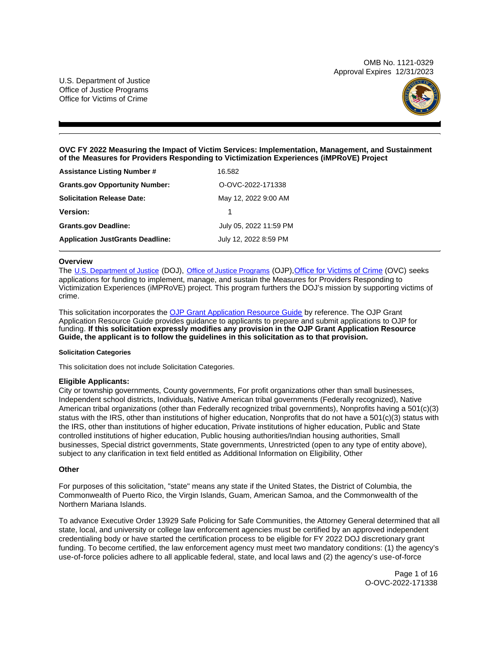OMB No. 1121-0329 Approval Expires 12/31/2023

U.S. Department of Justice Office of Justice Programs Office for Victims of Crime



# **OVC FY 2022 Measuring the Impact of Victim Services: Implementation, Management, and Sustainment of the Measures for Providers Responding to Victimization Experiences (iMPRoVE) Project**

| <b>Assistance Listing Number #</b>      | 16.582                 |
|-----------------------------------------|------------------------|
| <b>Grants.gov Opportunity Number:</b>   | O-OVC-2022-171338      |
| <b>Solicitation Release Date:</b>       | May 12, 2022 9:00 AM   |
| <b>Version:</b>                         |                        |
| <b>Grants.gov Deadline:</b>             | July 05, 2022 11:59 PM |
| <b>Application JustGrants Deadline:</b> | July 12, 2022 8:59 PM  |

### **Overview**

The [U.S. Department of Justice](https://www.usdoj.gov/) (DOJ), [Office of Justice Programs](https://www.ojp.usdoj.gov/) (OJP), Office for Victims of Crime (OVC) seeks applications for funding to implement, manage, and sustain the Measures for Providers Responding to Victimization Experiences (iMPRoVE) project. This program furthers the DOJ's mission by supporting victims of crime.

This solicitation incorporates the [OJP Grant Application Resource Guide](https://www.ojp.gov/funding/Apply/Resources/Grant-App-Resource-Guide.htm) by reference. The OJP Grant Application Resource Guide provides guidance to applicants to prepare and submit applications to OJP for funding. **If this solicitation expressly modifies any provision in the OJP Grant Application Resource Guide, the applicant is to follow the guidelines in this solicitation as to that provision.** 

### **Solicitation Categories**

This solicitation does not include Solicitation Categories.

# **Eligible Applicants:**

City or township governments, County governments, For profit organizations other than small businesses, Independent school districts, Individuals, Native American tribal governments (Federally recognized), Native American tribal organizations (other than Federally recognized tribal governments), Nonprofits having a 501(c)(3) status with the IRS, other than institutions of higher education, Nonprofits that do not have a 501(c)(3) status with the IRS, other than institutions of higher education, Private institutions of higher education, Public and State controlled institutions of higher education, Public housing authorities/Indian housing authorities, Small businesses, Special district governments, State governments, Unrestricted (open to any type of entity above), subject to any clarification in text field entitled as Additional Information on Eligibility, Other

# **Other**

For purposes of this solicitation, "state" means any state if the United States, the District of Columbia, the Commonwealth of Puerto Rico, the Virgin Islands, Guam, American Samoa, and the Commonwealth of the Northern Mariana Islands.

To advance Executive Order 13929 Safe Policing for Safe Communities, the Attorney General determined that all state, local, and university or college law enforcement agencies must be certified by an approved independent credentialing body or have started the certification process to be eligible for FY 2022 DOJ discretionary grant funding. To become certified, the law enforcement agency must meet two mandatory conditions: (1) the agency's use-of-force policies adhere to all applicable federal, state, and local laws and (2) the agency's use-of-force

> Page 1 of 16 O-OVC-2022-171338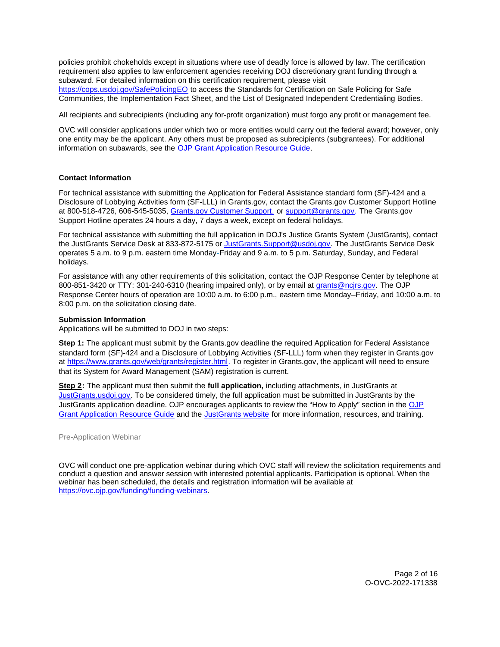<span id="page-1-0"></span>policies prohibit chokeholds except in situations where use of deadly force is allowed by law. The certification requirement also applies to law enforcement agencies receiving DOJ discretionary grant funding through a subaward. For detailed information on this certification requirement, please visit [https://cops.usdoj.gov/SafePolicingEO](https://cops.usdoj.gov/SafePolicingEO%20) to access the Standards for Certification on Safe Policing for Safe Communities, the Implementation Fact Sheet, and the List of Designated Independent Credentialing Bodies.

All recipients and subrecipients (including any for-profit organization) must forgo any profit or management fee.

OVC will consider applications under which two or more entities would carry out the federal award; however, only one entity may be the applicant. Any others must be proposed as subrecipients (subgrantees). For additional information on subawards, see the [OJP Grant Application Resource Guide.](https://www.ojp.gov/funding/Apply/Resources/Grant-App-Resource-Guide.htm)

# **Contact Information**

For technical assistance with submitting the Application for Federal Assistance standard form (SF)-424 and a Disclosure of Lobbying Activities form (SF-LLL) in [Grants.gov](https://Grants.gov), contact the [Grants.gov](https://Grants.gov) Customer Support Hotline at 800-518-4726, 606-545-5035, [Grants.gov Customer Support,](https://www.grants.gov/web/grants/support.html) or [support@grants.gov.](mailto:support@grants.gov) The [Grants.gov](https://Grants.gov) Support Hotline operates 24 hours a day, 7 days a week, except on federal holidays.

For technical assistance with submitting the full application in DOJ's Justice Grants System (JustGrants), contact the JustGrants Service Desk at 833-872-5175 or [JustGrants.Support@usdoj.gov.](mailto:JustGrants.Support@usdoj.gov) The JustGrants Service Desk operates 5 a.m. to 9 p.m. eastern time Monday-Friday and 9 a.m. to 5 p.m. Saturday, Sunday, and Federal holidays.

For assistance with any other requirements of this solicitation, contact the OJP Response Center by telephone at 800-851-3420 or TTY: 301-240-6310 (hearing impaired only), or by email at [grants@ncjrs.gov.](mailto:grants@ncjrs.gov) The OJP Response Center hours of operation are 10:00 a.m. to 6:00 p.m., eastern time Monday–Friday, and 10:00 a.m. to 8:00 p.m. on the solicitation closing date.

# **Submission Information**

Applications will be submitted to DOJ in two steps:

**Step 1:** The applicant must submit by the [Grants.gov](https://Grants.gov) deadline the required Application for Federal Assistance standard form (SF)-424 and a Disclosure of Lobbying Activities (SF-LLL) form when they register in [Grants.gov](https://Grants.gov) at [https://www.grants.gov/web/grants/register.html.](https://www.grants.gov/web/grants/register.html) To register in [Grants.gov](https://Grants.gov), the applicant will need to ensure that its System for Award Management (SAM) registration is current.

**Step 2:** The applicant must then submit the **full application,** including attachments, in JustGrants at [JustGrants.usdoj.gov.](https://justicegrants.usdoj.gov/) To be considered timely, the full application must be submitted in JustGrants by the JustGrants application deadline. [OJP](https://www.ojp.gov/funding/apply/ojp-grant-application-resource-guide#apply) encourages applicants to review the "How to Apply" section in the OJP [Grant Application Resource Guide](https://www.ojp.gov/funding/apply/ojp-grant-application-resource-guide#apply) and the [JustGrants website](https://justicegrants.usdoj.gov/news) for more information, resources, and training.

Pre-Application Webinar

OVC will conduct one pre-application webinar during which OVC staff will review the solicitation requirements and conduct a question and answer session with interested potential applicants. Participation is optional. When the webinar has been scheduled, the details and registration information will be available at [https://ovc.ojp.gov/funding/funding-webinars.](https://ovc.ojp.gov/funding/funding-webinars)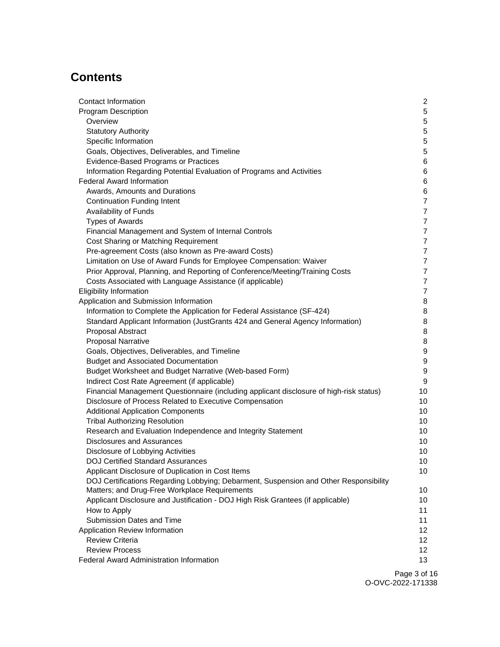# **Contents**

| Contact Information                                                                     | 2                |
|-----------------------------------------------------------------------------------------|------------------|
| <b>Program Description</b>                                                              | $\sqrt{5}$       |
| Overview                                                                                | $\sqrt{5}$       |
| <b>Statutory Authority</b>                                                              | $\mathbf 5$      |
| Specific Information                                                                    | $\mathbf 5$      |
| Goals, Objectives, Deliverables, and Timeline                                           | $\mathbf 5$      |
| Evidence-Based Programs or Practices                                                    | $\,6$            |
| Information Regarding Potential Evaluation of Programs and Activities                   | 6                |
| <b>Federal Award Information</b>                                                        | 6                |
| Awards, Amounts and Durations                                                           | 6                |
| <b>Continuation Funding Intent</b>                                                      | $\overline{7}$   |
| Availability of Funds                                                                   | $\overline{7}$   |
| <b>Types of Awards</b>                                                                  | $\overline{7}$   |
| Financial Management and System of Internal Controls                                    | $\overline{7}$   |
| Cost Sharing or Matching Requirement                                                    | $\overline{7}$   |
| Pre-agreement Costs (also known as Pre-award Costs)                                     | $\overline{7}$   |
| Limitation on Use of Award Funds for Employee Compensation: Waiver                      | $\overline{7}$   |
| Prior Approval, Planning, and Reporting of Conference/Meeting/Training Costs            | $\overline{7}$   |
| Costs Associated with Language Assistance (if applicable)                               | $\overline{7}$   |
| <b>Eligibility Information</b>                                                          | $\overline{7}$   |
| Application and Submission Information                                                  | 8                |
| Information to Complete the Application for Federal Assistance (SF-424)                 | 8                |
| Standard Applicant Information (JustGrants 424 and General Agency Information)          | 8                |
| Proposal Abstract                                                                       | 8                |
| <b>Proposal Narrative</b>                                                               | 8                |
| Goals, Objectives, Deliverables, and Timeline                                           | $\boldsymbol{9}$ |
| <b>Budget and Associated Documentation</b>                                              | $\boldsymbol{9}$ |
| Budget Worksheet and Budget Narrative (Web-based Form)                                  | 9                |
| Indirect Cost Rate Agreement (if applicable)                                            | 9                |
| Financial Management Questionnaire (including applicant disclosure of high-risk status) | 10               |
| Disclosure of Process Related to Executive Compensation                                 | 10               |
| <b>Additional Application Components</b>                                                | 10               |
| <b>Tribal Authorizing Resolution</b>                                                    | 10               |
| Research and Evaluation Independence and Integrity Statement                            | 10               |
| <b>Disclosures and Assurances</b>                                                       | 10               |
| Disclosure of Lobbying Activities                                                       | 10               |
| DOJ Certified Standard Assurances                                                       | 10               |
| Applicant Disclosure of Duplication in Cost Items                                       | 10               |
| DOJ Certifications Regarding Lobbying; Debarment, Suspension and Other Responsibility   |                  |
| Matters; and Drug-Free Workplace Requirements                                           | 10               |
| Applicant Disclosure and Justification - DOJ High Risk Grantees (if applicable)         | 10               |
| How to Apply                                                                            | 11               |
| Submission Dates and Time                                                               | 11               |
| Application Review Information                                                          | 12               |
| <b>Review Criteria</b>                                                                  | 12 <sub>2</sub>  |
| <b>Review Process</b>                                                                   | 12               |
| <b>Federal Award Administration Information</b>                                         | 13               |
|                                                                                         |                  |

Page 3 of 16 O-OVC-2022-171338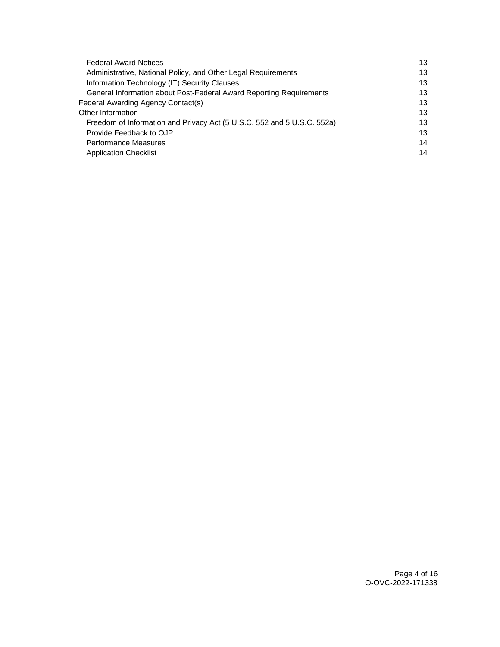| <b>Federal Award Notices</b>                                            |    |
|-------------------------------------------------------------------------|----|
| Administrative, National Policy, and Other Legal Requirements           | 13 |
| Information Technology (IT) Security Clauses                            | 13 |
| General Information about Post-Federal Award Reporting Requirements     | 13 |
| Federal Awarding Agency Contact(s)                                      | 13 |
| Other Information                                                       | 13 |
| Freedom of Information and Privacy Act (5 U.S.C. 552 and 5 U.S.C. 552a) | 13 |
| Provide Feedback to OJP                                                 | 13 |
| Performance Measures                                                    | 14 |
| <b>Application Checklist</b>                                            | 14 |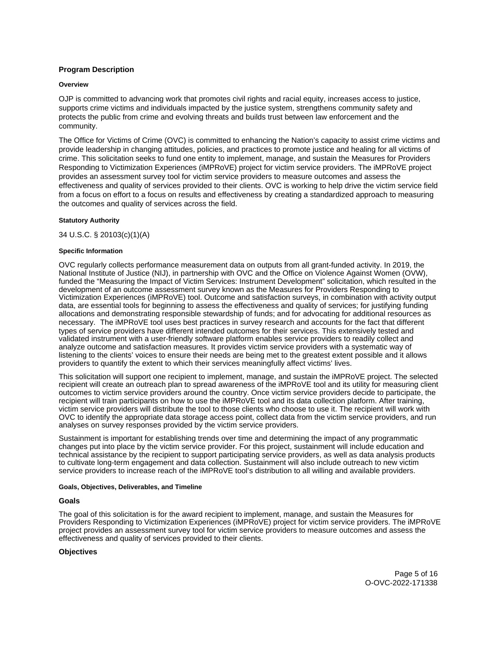# <span id="page-4-0"></span>**Program Description**

### **Overview**

OJP is committed to advancing work that promotes civil rights and racial equity, increases access to justice, supports crime victims and individuals impacted by the justice system, strengthens community safety and protects the public from crime and evolving threats and builds trust between law enforcement and the community.

The Office for Victims of Crime (OVC) is committed to enhancing the Nation's capacity to assist crime victims and provide leadership in changing attitudes, policies, and practices to promote justice and healing for all victims of crime. This solicitation seeks to fund one entity to implement, manage, and sustain the Measures for Providers Responding to Victimization Experiences (iMPRoVE) project for victim service providers. The iMPRoVE project provides an assessment survey tool for victim service providers to measure outcomes and assess the effectiveness and quality of services provided to their clients. OVC is working to help drive the victim service field from a focus on effort to a focus on results and effectiveness by creating a standardized approach to measuring the outcomes and quality of services across the field.

### **Statutory Authority**

34 U.S.C. § 20103(c)(1)(A)

### **Specific Information**

 necessary. The iMPRoVE tool uses best practices in survey research and accounts for the fact that different OVC regularly collects performance measurement data on outputs from all grant-funded activity. In 2019, the National Institute of Justice (NIJ), in partnership with OVC and the Office on Violence Against Women (OVW), funded the "Measuring the Impact of Victim Services: Instrument Development" solicitation, which resulted in the development of an outcome assessment survey known as the Measures for Providers Responding to Victimization Experiences (iMPRoVE) tool. Outcome and satisfaction surveys, in combination with activity output data, are essential tools for beginning to assess the effectiveness and quality of services; for justifying funding allocations and demonstrating responsible stewardship of funds; and for advocating for additional resources as types of service providers have different intended outcomes for their services. This extensively tested and validated instrument with a user-friendly software platform enables service providers to readily collect and analyze outcome and satisfaction measures. It provides victim service providers with a systematic way of listening to the clients' voices to ensure their needs are being met to the greatest extent possible and it allows providers to quantify the extent to which their services meaningfully affect victims' lives.

This solicitation will support one recipient to implement, manage, and sustain the iMPRoVE project. The selected recipient will create an outreach plan to spread awareness of the iMPRoVE tool and its utility for measuring client outcomes to victim service providers around the country. Once victim service providers decide to participate, the recipient will train participants on how to use the iMPRoVE tool and its data collection platform. After training, victim service providers will distribute the tool to those clients who choose to use it. The recipient will work with OVC to identify the appropriate data storage access point, collect data from the victim service providers, and run analyses on survey responses provided by the victim service providers.

Sustainment is important for establishing trends over time and determining the impact of any programmatic changes put into place by the victim service provider. For this project, sustainment will include education and technical assistance by the recipient to support participating service providers, as well as data analysis products to cultivate long-term engagement and data collection. Sustainment will also include outreach to new victim service providers to increase reach of the iMPRoVE tool's distribution to all willing and available providers.

### **Goals, Objectives, Deliverables, and Timeline**

# **Goals**

The goal of this solicitation is for the award recipient to implement, manage, and sustain the Measures for Providers Responding to Victimization Experiences (iMPRoVE) project for victim service providers. The iMPRoVE project provides an assessment survey tool for victim service providers to measure outcomes and assess the effectiveness and quality of services provided to their clients.

# **Objectives**

Page 5 of 16 O-OVC-2022-171338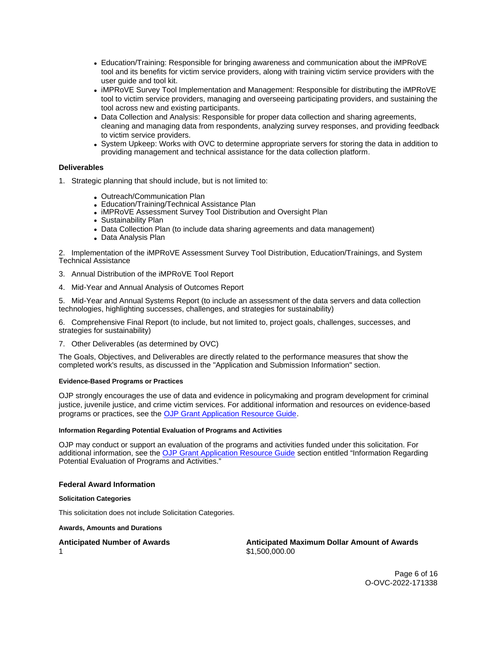- <span id="page-5-0"></span>Education/Training: Responsible for bringing awareness and communication about the iMPRoVE tool and its benefits for victim service providers, along with training victim service providers with the user guide and tool kit.
- iMPRoVE Survey Tool Implementation and Management: Responsible for distributing the iMPRoVE tool to victim service providers, managing and overseeing participating providers, and sustaining the tool across new and existing participants.
- Data Collection and Analysis: Responsible for proper data collection and sharing agreements, cleaning and managing data from respondents, analyzing survey responses, and providing feedback to victim service providers.
- System Upkeep: Works with OVC to determine appropriate servers for storing the data in addition to providing management and technical assistance for the data collection platform.

# **Deliverables**

- 1. Strategic planning that should include, but is not limited to:
	- Outreach/Communication Plan
	- Education/Training/Technical Assistance Plan
	- IMPRoVE Assessment Survey Tool Distribution and Oversight Plan
	- Sustainability Plan
	- Data Collection Plan (to include data sharing agreements and data management)
	- Data Analysis Plan

2. Implementation of the iMPRoVE Assessment Survey Tool Distribution, Education/Trainings, and System Technical Assistance

3. Annual Distribution of the iMPRoVE Tool Report

4. Mid-Year and Annual Analysis of Outcomes Report

5. Mid-Year and Annual Systems Report (to include an assessment of the data servers and data collection technologies, highlighting successes, challenges, and strategies for sustainability)

6. Comprehensive Final Report (to include, but not limited to, project goals, challenges, successes, and strategies for sustainability)

7. Other Deliverables (as determined by OVC)

The Goals, Objectives, and Deliverables are directly related to the performance measures that show the completed work's results, as discussed in the "Application and Submission Information" section.

### **Evidence-Based Programs or Practices**

OJP strongly encourages the use of data and evidence in policymaking and program development for criminal justice, juvenile justice, and crime victim services. For additional information and resources on evidence-based programs or practices, see the [OJP Grant Application Resource Guide.](https://www.ojp.gov/funding/apply/ojp-grant-application-resource-guide#evidence-based)

### **Information Regarding Potential Evaluation of Programs and Activities**

OJP may conduct or support an evaluation of the programs and activities funded under this solicitation. For additional information, see the [OJP Grant Application Resource Guide](https://www.ojp.gov/funding/apply/ojp-grant-application-resource-guide#potential-evaluation) section entitled "Information Regarding Potential Evaluation of Programs and Activities."

# **Federal Award Information**

**Solicitation Categories** 

This solicitation does not include Solicitation Categories.

**Awards, Amounts and Durations** 

1

**Anticipated Number of Awards Anticipated Maximum Dollar Amount of Awards**  \$[1,500,000.00](https://1,500,000.00)

> Page 6 of 16 O-OVC-2022-171338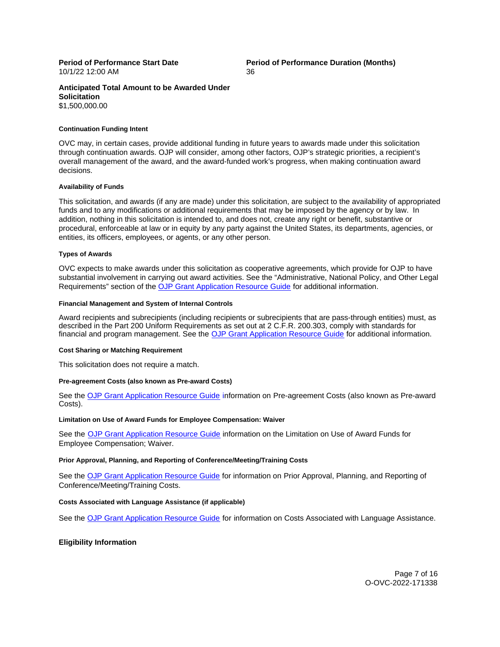10/1/22 12:00 AM 36

<span id="page-6-0"></span>**Period of Performance Start Date Period of Performance Duration (Months)** 

### **Anticipated Total Amount to be Awarded Under Solicitation**  \$1,500,000.00

### **Continuation Funding Intent**

OVC may, in certain cases, provide additional funding in future years to awards made under this solicitation through continuation awards. OJP will consider, among other factors, OJP's strategic priorities, a recipient's overall management of the award, and the award-funded work's progress, when making continuation award decisions.

#### **Availability of Funds**

This solicitation, and awards (if any are made) under this solicitation, are subject to the availability of appropriated funds and to any modifications or additional requirements that may be imposed by the agency or by law. In addition, nothing in this solicitation is intended to, and does not, create any right or benefit, substantive or procedural, enforceable at law or in equity by any party against the United States, its departments, agencies, or entities, its officers, employees, or agents, or any other person.

### **Types of Awards**

OVC expects to make awards under this solicitation as cooperative agreements, which provide for OJP to have substantial involvement in carrying out award activities. See the "Administrative, National Policy, and Other Legal Requirements" section of the [OJP Grant Application Resource Guide](https://www.ojp.gov/funding/apply/ojp-grant-application-resource-guide#administrative) for additional information.

#### **Financial Management and System of Internal Controls**

Award recipients and subrecipients (including recipients or subrecipients that are pass-through entities) must, as described in the Part 200 Uniform Requirements as set out at 2 C.F.R. 200.303, comply with standards for financial and program management. See the [OJP Grant Application Resource Guide](https://www.ojp.gov/funding/apply/ojp-grant-application-resource-guide#fm-internal-controls) for additional information.

### **Cost Sharing or Matching Requirement**

This solicitation does not require a match.

### **Pre-agreement Costs (also known as Pre-award Costs)**

See the [OJP Grant Application Resource Guide](https://www.ojp.gov/funding/apply/ojp-grant-application-resource-guide#pre-agreement-costs) information on Pre-agreement Costs (also known as Pre-award Costs).

#### **Limitation on Use of Award Funds for Employee Compensation: Waiver**

See the [OJP Grant Application Resource Guide](https://www.ojp.gov/funding/apply/ojp-grant-application-resource-guide#limitation-use-award) information on the Limitation on Use of Award Funds for Employee Compensation; Waiver.

### **Prior Approval, Planning, and Reporting of Conference/Meeting/Training Costs**

See the [OJP Grant Application Resource Guide](https://www.ojp.gov/funding/apply/ojp-grant-application-resource-guide#prior-approval) for information on Prior Approval, Planning, and Reporting of Conference/Meeting/Training Costs.

### **Costs Associated with Language Assistance (if applicable)**

See the [OJP Grant Application Resource Guide](https://www.ojp.gov/funding/apply/ojp-grant-application-resource-guide#costs-associated) for information on Costs Associated with Language Assistance.

# **Eligibility Information**

Page 7 of 16 O-OVC-2022-171338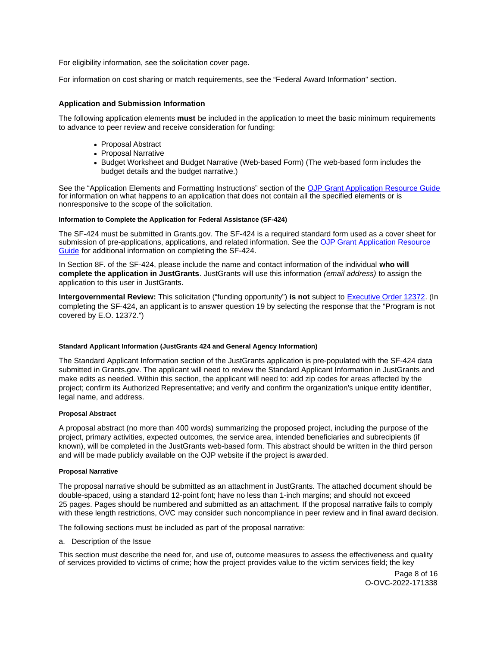<span id="page-7-0"></span>For eligibility information, see the solicitation cover page.

For information on cost sharing or match requirements, see the "Federal Award Information" section.

# **Application and Submission Information**

The following application elements **must** be included in the application to meet the basic minimum requirements to advance to peer review and receive consideration for funding:

- Proposal Abstract
- Proposal Narrative
- Budget Worksheet and Budget Narrative (Web-based Form) (The web-based form includes the budget details and the budget narrative.)

See the "Application Elements and Formatting Instructions" section of the [OJP Grant Application Resource Guide](https://www.ojp.gov/funding/apply/ojp-grant-application-resource-guide#application-elements)  for information on what happens to an application that does not contain all the specified elements or is nonresponsive to the scope of the solicitation.

### **Information to Complete the Application for Federal Assistance (SF-424)**

The SF-424 must be submitted in [Grants.gov](https://Grants.gov). The SF-424 is a required standard form used as a cover sheet for submission of pre-applications, applications, and related information. See the OJP Grant Application Resource [Guide](https://www.ojp.gov/funding/apply/ojp-grant-application-resource-guide#complete-application) for additional information on completing the SF-424.

In Section 8F. of the SF-424, please include the name and contact information of the individual **who will complete the application in JustGrants**. JustGrants will use this information (email address) to assign the application to this user in JustGrants.

**Intergovernmental Review:** This solicitation ("funding opportunity") **is not** subject to [Executive Order 12372.](https://www.archives.gov/federal-register/codification/executive-order/12372.html) (In completing the SF-424, an applicant is to answer question 19 by selecting the response that the "Program is not covered by E.O. 12372.")

### **Standard Applicant Information (JustGrants 424 and General Agency Information)**

The Standard Applicant Information section of the JustGrants application is pre-populated with the SF-424 data submitted in [Grants.gov.](https://Grants.gov) The applicant will need to review the Standard Applicant Information in JustGrants and make edits as needed. Within this section, the applicant will need to: add zip codes for areas affected by the project; confirm its Authorized Representative; and verify and confirm the organization's unique entity identifier, legal name, and address.

### **Proposal Abstract**

A proposal abstract (no more than 400 words) summarizing the proposed project, including the purpose of the project, primary activities, expected outcomes, the service area, intended beneficiaries and subrecipients (if known), will be completed in the JustGrants web-based form. This abstract should be written in the third person and will be made publicly available on the OJP website if the project is awarded.

### **Proposal Narrative**

The proposal narrative should be submitted as an attachment in JustGrants. The attached document should be double-spaced, using a standard 12-point font; have no less than 1-inch margins; and should not exceed 25 pages. Pages should be numbered and submitted as an attachment. If the proposal narrative fails to comply with these length restrictions, OVC may consider such noncompliance in peer review and in final award decision.

The following sections must be included as part of the proposal narrative:

a. Description of the Issue

This section must describe the need for, and use of, outcome measures to assess the effectiveness and quality of services provided to victims of crime; how the project provides value to the victim services field; the key

> Page 8 of 16 O-OVC-2022-171338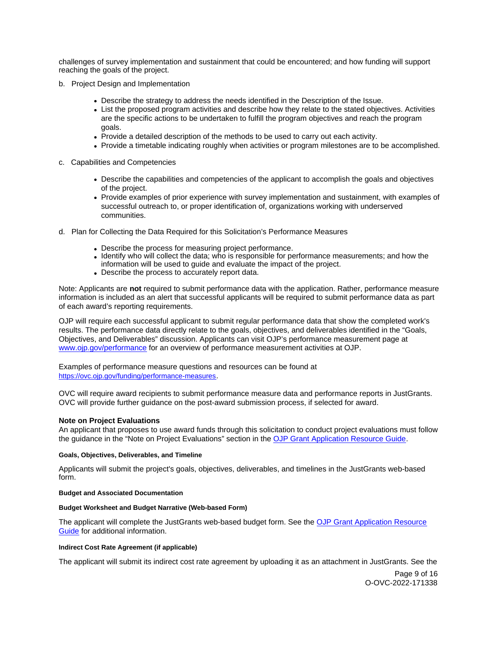<span id="page-8-0"></span>challenges of survey implementation and sustainment that could be encountered; and how funding will support reaching the goals of the project.

- b. Project Design and Implementation
	- Describe the strategy to address the needs identified in the Description of the Issue.
	- List the proposed program activities and describe how they relate to the stated objectives. Activities are the specific actions to be undertaken to fulfill the program objectives and reach the program goals.
	- Provide a detailed description of the methods to be used to carry out each activity.
	- Provide a timetable indicating roughly when activities or program milestones are to be accomplished.
- c. Capabilities and Competencies
	- Describe the capabilities and competencies of the applicant to accomplish the goals and objectives of the project.
	- Provide examples of prior experience with survey implementation and sustainment, with examples of successful outreach to, or proper identification of, organizations working with underserved communities.
- d. Plan for Collecting the Data Required for this Solicitation's Performance Measures
	- Describe the process for measuring project performance.
	- Identify who will collect the data; who is responsible for performance measurements; and how the information will be used to guide and evaluate the impact of the project.
	- Describe the process to accurately report data.

Note: Applicants are **not** required to submit performance data with the application. Rather, performance measure information is included as an alert that successful applicants will be required to submit performance data as part of each award's reporting requirements.

OJP will require each successful applicant to submit regular performance data that show the completed work's results. The performance data directly relate to the goals, objectives, and deliverables identified in the "Goals, Objectives, and Deliverables" discussion. Applicants can visit OJP's performance measurement page at [www.ojp.gov/performance](https://www.ojp.gov/performance) for an overview of performance measurement activities at OJP.

Examples of performance measure questions and resources can be found at [https://ovc.ojp.gov/funding/performance-measures.](https://ovc.ojp.gov/funding/performance-measures)

OVC will require award recipients to submit performance measure data and performance reports in JustGrants. OVC will provide further guidance on the post-award submission process, if selected for award.

# **Note on Project Evaluations**

An applicant that proposes to use award funds through this solicitation to conduct project evaluations must follow the guidance in the "Note on Project Evaluations" section in the [OJP Grant Application Resource Guide.](https://www.ojp.gov/funding/apply/ojp-grant-application-resource-guide#project-evaluations)

### **Goals, Objectives, Deliverables, and Timeline**

Applicants will submit the project's goals, objectives, deliverables, and timelines in the JustGrants web-based form.

### **Budget and Associated Documentation**

### **Budget Worksheet and Budget Narrative (Web-based Form)**

The applicant will complete the JustGrants web-based budget form. See the [OJP Grant Application Resource](https://www.ojp.gov/funding/apply/ojp-grant-application-resource-guide#budget-prep)  [Guide](https://www.ojp.gov/funding/apply/ojp-grant-application-resource-guide#budget-prep) for additional information.

### **Indirect Cost Rate Agreement (if applicable)**

The applicant will submit its indirect cost rate agreement by uploading it as an attachment in JustGrants. See the

Page 9 of 16 O-OVC-2022-171338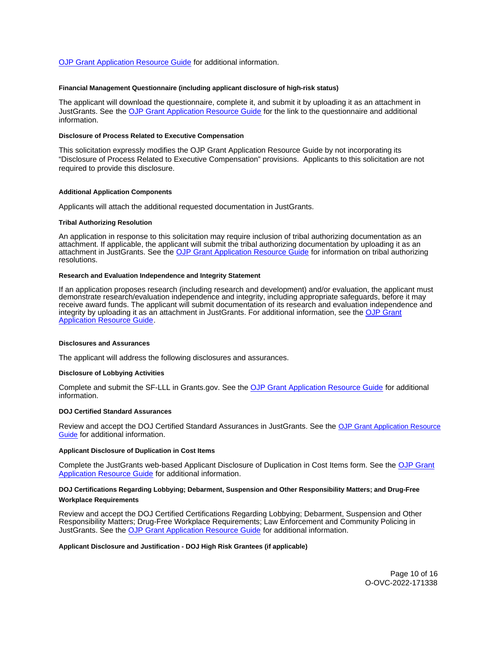<span id="page-9-0"></span>[OJP Grant Application Resource Guide](https://www.ojp.gov/funding/apply/ojp-grant-application-resource-guide#indirect-cost) for additional information.

### **Financial Management Questionnaire (including applicant disclosure of high-risk status)**

The applicant will download the questionnaire, complete it, and submit it by uploading it as an attachment in JustGrants. See the [OJP Grant Application Resource Guide](https://www.ojp.gov/funding/apply/ojp-grant-application-resource-guide#fm-internal-controls-questionnaire) for the link to the questionnaire and additional information.

### **Disclosure of Process Related to Executive Compensation**

This solicitation expressly modifies the OJP Grant Application Resource Guide by not incorporating its "Disclosure of Process Related to Executive Compensation" provisions. Applicants to this solicitation are not required to provide this disclosure.

### **Additional Application Components**

Applicants will attach the additional requested documentation in JustGrants.

#### **Tribal Authorizing Resolution**

An application in response to this solicitation may require inclusion of tribal authorizing documentation as an attachment. If applicable, the applicant will submit the tribal authorizing documentation by uploading it as an attachment in JustGrants. See the [OJP Grant Application Resource Guide](https://www.ojp.gov/funding/apply/ojp-grant-application-resource-guide#tribal-authorizing-resolution) for information on tribal authorizing resolutions.

#### **Research and Evaluation Independence and Integrity Statement**

If an application proposes research (including research and development) and/or evaluation, the applicant must demonstrate research/evaluation independence and integrity, including appropriate safeguards, before it may receive award funds. The applicant will submit documentation of its research and evaluation independence and integrity by uploading it as an attachment in JustGrants. For additional information, see the [OJP Grant](https://www.ojp.gov/funding/apply/ojp-grant-application-resource-guide#research-evaluation)  [Application Resource Guide.](https://www.ojp.gov/funding/apply/ojp-grant-application-resource-guide#research-evaluation)

#### **Disclosures and Assurances**

The applicant will address the following disclosures and assurances.

### **Disclosure of Lobbying Activities**

Complete and submit the SF-LLL in [Grants.gov.](https://Grants.gov) See the [OJP Grant Application Resource Guide](https://www.ojp.gov/funding/apply/ojp-grant-application-resource-guide#disclosure-lobby) for additional information.

#### **DOJ Certified Standard Assurances**

Review and accept the DOJ Certified Standard Assurances in JustGrants. See the [OJP Grant Application Resource](https://www.ojp.gov/funding/apply/ojp-grant-application-resource-guide#administrative)  [Guide](https://www.ojp.gov/funding/apply/ojp-grant-application-resource-guide#administrative) for additional information.

#### **Applicant Disclosure of Duplication in Cost Items**

Complete the JustGrants web-based Applicant Disclosure of Duplication in Cost Items form. See the [OJP Grant](https://www.ojp.gov/funding/apply/ojp-grant-application-resource-guide#applicant-disclosure-pending-applications)  [Application Resource Guide](https://www.ojp.gov/funding/apply/ojp-grant-application-resource-guide#applicant-disclosure-pending-applications) for additional information.

# **DOJ Certifications Regarding Lobbying; Debarment, Suspension and Other Responsibility Matters; and Drug-Free Workplace Requirements**

Review and accept the DOJ Certified Certifications Regarding Lobbying; Debarment, Suspension and Other Responsibility Matters; Drug-Free Workplace Requirements; Law Enforcement and Community Policing in JustGrants. See the [OJP Grant Application Resource Guide](https://www.ojp.gov/funding/apply/ojp-grant-application-resource-guide#administrative) for additional information.

#### **Applicant Disclosure and Justification - DOJ High Risk Grantees (if applicable)**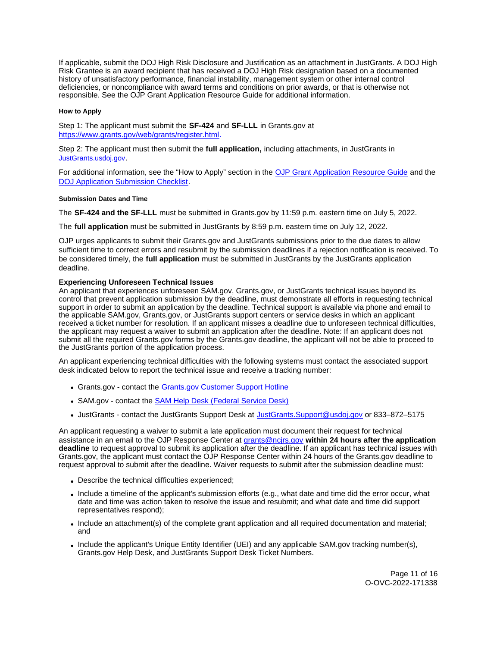<span id="page-10-0"></span>If applicable, submit the DOJ High Risk Disclosure and Justification as an attachment in JustGrants. A DOJ High Risk Grantee is an award recipient that has received a DOJ High Risk designation based on a documented history of unsatisfactory performance, financial instability, management system or other internal control deficiencies, or noncompliance with award terms and conditions on prior awards, or that is otherwise not responsible. See the OJP Grant Application Resource Guide for additional information.

### **How to Apply**

Step 1: The applicant must submit the **SF-424** and **SF-LLL** in [Grants.gov](https://Grants.gov) at [https://www.grants.gov/web/grants/register.html.](https://www.grants.gov/web/grants/register.html)

Step 2: The applicant must then submit the **full application,** including attachments, in JustGrants in [JustGrants.usdoj.gov.](https://justicegrants.usdoj.gov/)

For additional information, see the "How to Apply" section in the [OJP Grant Application Resource Guide](https://www.ojp.gov/funding/apply/ojp-grant-application-resource-guide#apply) and the [DOJ Application Submission Checklist.](https://justicegrants.usdoj.gov/sites/g/files/xyckuh296/files/media/document/appln-submission-checklist.pdf)

### **Submission Dates and Time**

The **SF-424 and the SF-LLL** must be submitted in [Grants.gov](https://Grants.gov) by 11:59 p.m. eastern time on July 5, 2022.

The **full application** must be submitted in JustGrants by 8:59 p.m. eastern time on July 12, 2022.

OJP urges applicants to submit their [Grants.gov](https://Grants.gov) and JustGrants submissions prior to the due dates to allow sufficient time to correct errors and resubmit by the submission deadlines if a rejection notification is received. To be considered timely, the **full application** must be submitted in JustGrants by the JustGrants application deadline.

# **Experiencing Unforeseen Technical Issues**

An applicant that experiences unforeseen SAM.gov, [Grants.gov,](https://Grants.gov) or JustGrants technical issues beyond its control that prevent application submission by the deadline, must demonstrate all efforts in requesting technical support in order to submit an application by the deadline. Technical support is available via phone and email to the applicable SAM.gov, [Grants.gov,](https://Grants.gov) or JustGrants support centers or service desks in which an applicant received a ticket number for resolution. If an applicant misses a deadline due to unforeseen technical difficulties, the applicant may request a waiver to submit an application after the deadline. Note: If an applicant does not submit all the required [Grants.gov](https://Grants.gov) forms by the [Grants.gov](https://Grants.gov) deadline, the applicant will not be able to proceed to the JustGrants portion of the application process.

An applicant experiencing technical difficulties with the following systems must contact the associated support desk indicated below to report the technical issue and receive a tracking number:

- [Grants.gov](https://Grants.gov)  contact the [Grants.gov Customer Support Hotline](https://www.grants.gov/web/grants/support.html)
- SAM.gov contact the [SAM Help Desk \(Federal Service Desk\)](https://www.fsd.gov/gsafsd_sp)
- JustGrants contact the JustGrants Support Desk at [JustGrants.Support@usdoj.gov](mailto:JustGrants.Support@usdoj.gov) or 833–872–5175

An applicant requesting a waiver to submit a late application must document their request for technical assistance in an email to the OJP Response Center at [grants@ncjrs.gov](mailto:grants@ncjrs.gov) **within 24 hours after the application deadline** to request approval to submit its application after the deadline. If an applicant has technical issues with [Grants.gov,](https://Grants.gov) the applicant must contact the OJP Response Center within 24 hours of the [Grants.gov](https://Grants.gov) deadline to request approval to submit after the deadline. Waiver requests to submit after the submission deadline must:

- Describe the technical difficulties experienced;
- Include a timeline of the applicant's submission efforts (e.g., what date and time did the error occur, what date and time was action taken to resolve the issue and resubmit; and what date and time did support representatives respond);
- Include an attachment(s) of the complete grant application and all required documentation and material; and
- Include the applicant's Unique Entity Identifier (UEI) and any applicable SAM.gov tracking number(s), [Grants.gov](https://Grants.gov) Help Desk, and JustGrants Support Desk Ticket Numbers.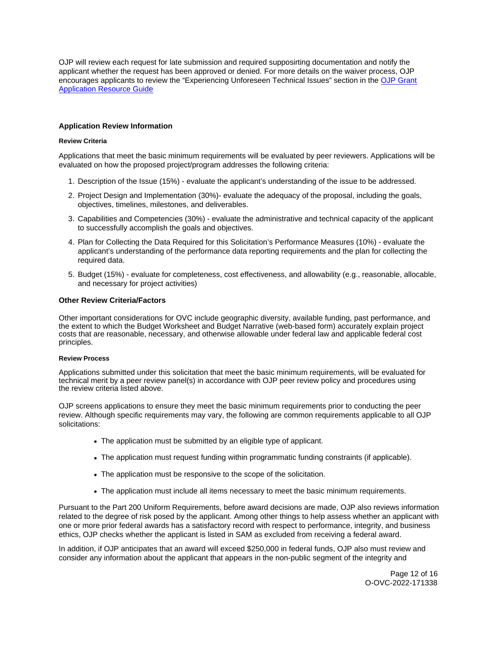<span id="page-11-0"></span>OJP will review each request for late submission and required supposirting documentation and notify the applicant whether the request has been approved or denied. For more details on the waiver process, OJP encourages applicants to review the "Experiencing Unforeseen Technical Issues" section in the [OJP Grant](https://www.ojp.gov/funding/apply/ojp-grant-application-resource-guide#experiencing-unforeseen-technical-issues)  **Application Resource Guide** 

# **Application Review Information**

# **Review Criteria**

Applications that meet the basic minimum requirements will be evaluated by peer reviewers. Applications will be evaluated on how the proposed project/program addresses the following criteria:

- 1. Description of the Issue (15%) evaluate the applicant's understanding of the issue to be addressed.
- 2. Project Design and Implementation (30%)- evaluate the adequacy of the proposal, including the goals, objectives, timelines, milestones, and deliverables.
- 3. Capabilities and Competencies (30%) evaluate the administrative and technical capacity of the applicant to successfully accomplish the goals and objectives.
- 4. Plan for Collecting the Data Required for this Solicitation's Performance Measures (10%) evaluate the applicant's understanding of the performance data reporting requirements and the plan for collecting the required data.
- 5. Budget (15%) evaluate for completeness, cost effectiveness, and allowability (e.g., reasonable, allocable, and necessary for project activities)

# **Other Review Criteria/Factors**

Other important considerations for OVC include geographic diversity, available funding, past performance, and the extent to which the Budget Worksheet and Budget Narrative (web-based form) accurately explain project costs that are reasonable, necessary, and otherwise allowable under federal law and applicable federal cost principles.

### **Review Process**

Applications submitted under this solicitation that meet the basic minimum requirements, will be evaluated for technical merit by a peer review panel(s) in accordance with OJP peer review policy and procedures using the review criteria listed above.

OJP screens applications to ensure they meet the basic minimum requirements prior to conducting the peer review. Although specific requirements may vary, the following are common requirements applicable to all OJP solicitations:

- The application must be submitted by an eligible type of applicant.
- The application must request funding within programmatic funding constraints (if applicable).
- The application must be responsive to the scope of the solicitation.
- The application must include all items necessary to meet the basic minimum requirements.

Pursuant to the Part 200 Uniform Requirements, before award decisions are made, OJP also reviews information related to the degree of risk posed by the applicant. Among other things to help assess whether an applicant with one or more prior federal awards has a satisfactory record with respect to performance, integrity, and business ethics, OJP checks whether the applicant is listed in SAM as excluded from receiving a federal award.

In addition, if OJP anticipates that an award will exceed \$250,000 in federal funds, OJP also must review and consider any information about the applicant that appears in the non-public segment of the integrity and

> Page 12 of 16 O-OVC-2022-171338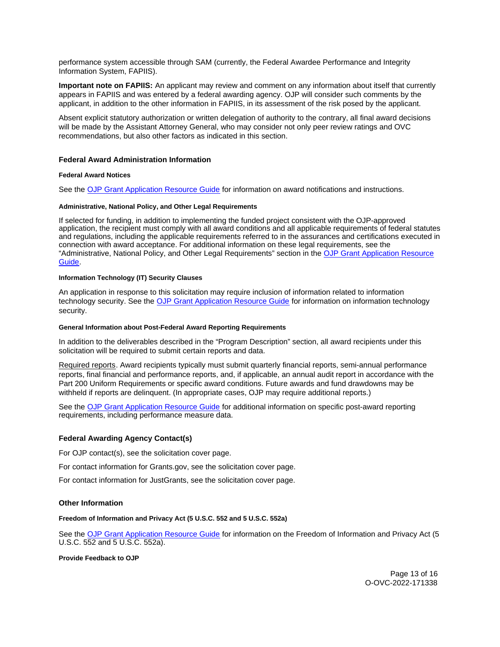<span id="page-12-0"></span>performance system accessible through SAM (currently, the Federal Awardee Performance and Integrity Information System, FAPIIS).

**Important note on FAPIIS:** An applicant may review and comment on any information about itself that currently appears in FAPIIS and was entered by a federal awarding agency. OJP will consider such comments by the applicant, in addition to the other information in FAPIIS, in its assessment of the risk posed by the applicant.

Absent explicit statutory authorization or written delegation of authority to the contrary, all final award decisions will be made by the Assistant Attorney General, who may consider not only peer review ratings and OVC recommendations, but also other factors as indicated in this section.

### **Federal Award Administration Information**

### **Federal Award Notices**

See the [OJP Grant Application Resource Guide](https://www.ojp.gov/funding/apply/ojp-grant-application-resource-guide#federal-award-notices) for information on award notifications and instructions.

### **Administrative, National Policy, and Other Legal Requirements**

If selected for funding, in addition to implementing the funded project consistent with the OJP-approved application, the recipient must comply with all award conditions and all applicable requirements of federal statutes and regulations, including the applicable requirements referred to in the assurances and certifications executed in connection with award acceptance. For additional information on these legal requirements, see the "Administrative, National Policy, and Other Legal Requirements" section in the [OJP Grant Application Resource](https://www.ojp.gov/funding/apply/ojp-grant-application-resource-guide#administrative)  [Guide.](https://www.ojp.gov/funding/apply/ojp-grant-application-resource-guide#administrative)

### **Information Technology (IT) Security Clauses**

An application in response to this solicitation may require inclusion of information related to information technology security. See the [OJP Grant Application Resource Guide](https://www.ojp.gov/funding/apply/ojp-grant-application-resource-guide#information-technology) for information on information technology security.

### **General Information about Post-Federal Award Reporting Requirements**

In addition to the deliverables described in the "Program Description" section, all award recipients under this solicitation will be required to submit certain reports and data.

Required reports. Award recipients typically must submit quarterly financial reports, semi-annual performance reports, final financial and performance reports, and, if applicable, an annual audit report in accordance with the Part 200 Uniform Requirements or specific award conditions. Future awards and fund drawdowns may be withheld if reports are delinquent. (In appropriate cases, OJP may require additional reports.)

See the [OJP Grant Application Resource Guide](https://www.ojp.gov/funding/apply/ojp-grant-application-resource-guide#general-information) for additional information on specific post-award reporting requirements, including performance measure data.

### **Federal Awarding Agency Contact(s)**

For OJP contact(s), see the solicitation cover page.

For contact information for [Grants.gov](https://Grants.gov), see the solicitation cover page.

For contact information for JustGrants, see the solicitation cover page.

# **Other Information**

### **Freedom of Information and Privacy Act (5 U.S.C. 552 and 5 U.S.C. 552a)**

See the [OJP Grant Application Resource Guide](https://www.ojp.gov/funding/apply/ojp-grant-application-resource-guide#foia) for information on the Freedom of Information and Privacy Act (5 U.S.C. 552 and 5 U.S.C. 552a).

### **Provide Feedback to OJP**

Page 13 of 16 O-OVC-2022-171338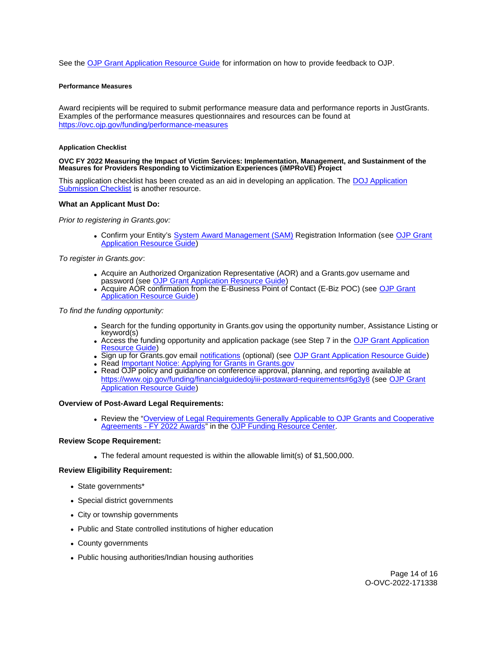<span id="page-13-0"></span>See the [OJP Grant Application Resource Guide](https://www.ojp.gov/funding/apply/ojp-grant-application-resource-guide#feedback) for information on how to provide feedback to OJP.

### **Performance Measures**

Award recipients will be required to submit performance measure data and performance reports in JustGrants. Examples of the performance measures questionnaires and resources can be found at <https://ovc.ojp.gov/funding/performance-measures>

### **Application Checklist**

### **OVC FY 2022 Measuring the Impact of Victim Services: Implementation, Management, and Sustainment of the Measures for Providers Responding to Victimization Experiences (iMPRoVE) Project**

This application checklist has been created as an aid in developing an application. The [DOJ Application](https://justicegrants.usdoj.gov/sites/g/files/xyckuh296/files/media/document/appln-submission-checklist.pdf)  [Submission Checklist](https://justicegrants.usdoj.gov/sites/g/files/xyckuh296/files/media/document/appln-submission-checklist.pdf) is another resource.

### **What an Applicant Must Do:**

Prior to registering in [Grants.gov](https://Grants.gov):

Confirm your Entity's [System Award Management \(SAM\)](https://sam.gov/SAM/) Registration Information (see [OJP Grant](https://www.ojp.gov/funding/apply/ojp-grant-application-resource-guide#apply)  [Application Resource Guide\)](https://www.ojp.gov/funding/apply/ojp-grant-application-resource-guide#apply)

To register in [Grants.gov](https://Grants.gov):

- Acquire an Authorized Organization Representative (AOR) and a [Grants.gov](https://Grants.gov) username and password (see [OJP Grant Application Resource Guide\)](https://www.ojp.gov/funding/apply/ojp-grant-application-resource-guide#apply)
- Acquire AOR confirmation from the E-Business Point of Contact (E-Biz POC) (see [OJP Grant](https://www.ojp.gov/funding/apply/ojp-grant-application-resource-guide#apply)  **[Application Resource Guide\)](https://www.ojp.gov/funding/apply/ojp-grant-application-resource-guide#apply)**

To find the funding opportunity:

- Search for the funding opportunity in [Grants.gov](https://Grants.gov) using the opportunity number, Assistance Listing or keyword(s)
- Access the funding opportunity and application package (see Step 7 in the [OJP Grant Application](https://www.ojp.gov/funding/apply/ojp-grant-application-resource-guide#apply)  [Resource Guide\)](https://www.ojp.gov/funding/apply/ojp-grant-application-resource-guide#apply)
- Sign up for [Grants.gov](https://Grants.gov) email [notifications](https://www.grants.gov/web/grants/manage-subscriptions.html) (optional) (see [OJP Grant Application Resource Guide\)](https://www.ojp.gov/funding/apply/ojp-grant-application-resource-guide#apply)
- Read *Important Notice: Applying for Grants in Grants.gov*
- Read OJP policy and guidance on conference approval, planning, and reporting available at <https://www.ojp.gov/funding/financialguidedoj/iii-postaward-requirements#6g3y8>(see [OJP Grant](https://www.ojp.gov/funding/apply/ojp-grant-application-resource-guide#prior-approval)  [Application Resource Guide\)](https://www.ojp.gov/funding/apply/ojp-grant-application-resource-guide#prior-approval)

### **Overview of Post-Award Legal Requirements:**

Review the "[Overview of Legal Requirements Generally Applicable to OJP Grants and Cooperative](https://www.ojp.gov/funding/explore/legal-overview-awards)  [Agreements - FY 2022 Awards"](https://www.ojp.gov/funding/explore/legal-overview-awards) in the [OJP Funding Resource Center.](https://www.ojp.gov/funding/explore/legal-overview-awards)

### **Review Scope Requirement:**

The federal amount requested is within the allowable limit(s) of \$1,500,000.

### **Review Eligibility Requirement:**

- State governments\*
- Special district governments
- City or township governments
- Public and State controlled institutions of higher education
- County governments
- Public housing authorities/Indian housing authorities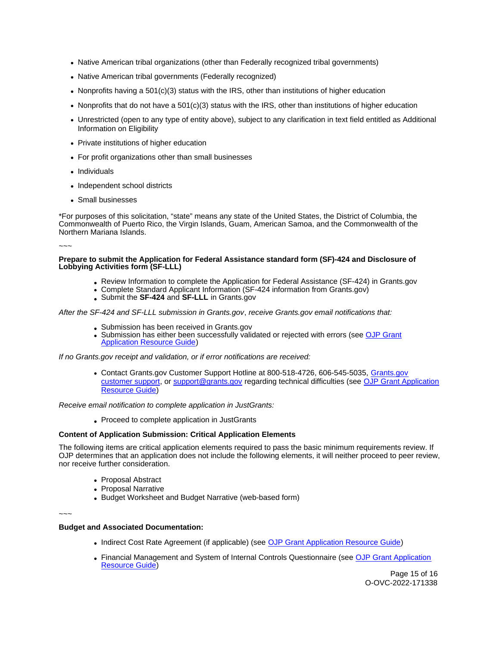- Native American tribal organizations (other than Federally recognized tribal governments)
- Native American tribal governments (Federally recognized)
- Nonprofits having a 501(c)(3) status with the IRS, other than institutions of higher education
- Nonprofits that do not have a 501(c)(3) status with the IRS, other than institutions of higher education
- Unrestricted (open to any type of entity above), subject to any clarification in text field entitled as Additional Information on Eligibility
- Private institutions of higher education
- For profit organizations other than small businesses
- Individuals
- Independent school districts
- Small businesses

\*For purposes of this solicitation, "state" means any state of the United States, the District of Columbia, the Commonwealth of Puerto Rico, the Virgin Islands, Guam, American Samoa, and the Commonwealth of the Northern Mariana Islands.

~~~

### **Prepare to submit the Application for Federal Assistance standard form (SF)-424 and Disclosure of Lobbying Activities form (SF-LLL)**

- Review Information to complete the Application for Federal Assistance (SF-424) in [Grants.gov](https://Grants.gov)
- Complete Standard Applicant Information (SF-424 information from [Grants.gov\)](https://Grants.gov)
- Submit the **SF-424** and **SF-LLL** in [Grants.gov](https://Grants.gov)

After the SF-424 and SF-LLL submission in [Grants.gov](https://Grants.gov), receive [Grants.gov](https://Grants.gov) email notifications that:

- Submission has been received in [Grants.gov](https://Grants.gov)
- Submission has either been successfully validated or rejected with errors (see OJP Grant [Application Resource Guide\)](https://www.ojp.gov/funding/apply/ojp-grant-application-resource-guide#apply)

If no [Grants.gov](https://Grants.gov) receipt and validation, or if error notifications are received:

Contact [Grants.gov](https://Grants.gov) Customer Support Hotline at 800-518-4726, 606-545-5035, [Grants.gov](https://www.grants.gov/web/grants/support.html)  [customer support,](https://www.grants.gov/web/grants/support.html) or [support@grants.gov](mailto:support@grants.gov) regarding technical difficulties (see [OJP Grant Application](https://www.ojp.gov/funding/apply/ojp-grant-application-resource-guide#apply)  [Resource Guide\)](https://www.ojp.gov/funding/apply/ojp-grant-application-resource-guide#apply)

Receive email notification to complete application in JustGrants:

• Proceed to complete application in JustGrants

# **Content of Application Submission: Critical Application Elements**

The following items are critical application elements required to pass the basic minimum requirements review. If OJP determines that an application does not include the following elements, it will neither proceed to peer review, nor receive further consideration.

- Proposal Abstract
- Proposal Narrative
- Budget Worksheet and Budget Narrative (web-based form)

~~~

# **Budget and Associated Documentation:**

- Indirect Cost Rate Agreement (if applicable) (see [OJP Grant Application Resource Guide\)](https://www.ojp.gov/funding/apply/ojp-grant-application-resource-guide#indirect-cost)
- Financial Management and System of Internal Controls Questionnaire (see OJP Grant Application [Resource Guide\)](https://www.ojp.gov/funding/apply/ojp-grant-application-resource-guide#fm-internal-controls-questionnaire)

Page 15 of 16 O-OVC-2022-171338